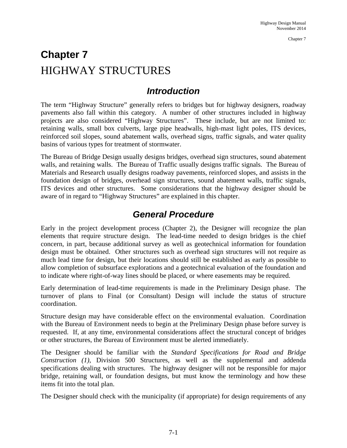# **Chapter 7**  HIGHWAY STRUCTURES

### *Introduction*

The term "Highway Structure" generally refers to bridges but for highway designers, roadway pavements also fall within this category. A number of other structures included in highway projects are also considered "Highway Structures". These include, but are not limited to: retaining walls, small box culverts, large pipe headwalls, high-mast light poles, ITS devices, reinforced soil slopes, sound abatement walls, overhead signs, traffic signals, and water quality basins of various types for treatment of stormwater.

The Bureau of Bridge Design usually designs bridges, overhead sign structures, sound abatement walls, and retaining walls. The Bureau of Traffic usually designs traffic signals. The Bureau of Materials and Research usually designs roadway pavements, reinforced slopes, and assists in the foundation design of bridges, overhead sign structures, sound abatement walls, traffic signals, ITS devices and other structures. Some considerations that the highway designer should be aware of in regard to "Highway Structures" are explained in this chapter.

### *General Procedure*

Early in the project development process (Chapter 2), the Designer will recognize the plan elements that require structure design. The lead-time needed to design bridges is the chief concern, in part, because additional survey as well as geotechnical information for foundation design must be obtained. Other structures such as overhead sign structures will not require as much lead time for design, but their locations should still be established as early as possible to allow completion of subsurface explorations and a geotechnical evaluation of the foundation and to indicate where right-of-way lines should be placed, or where easements may be required.

Early determination of lead-time requirements is made in the Preliminary Design phase. The turnover of plans to Final (or Consultant) Design will include the status of structure coordination.

Structure design may have considerable effect on the environmental evaluation. Coordination with the Bureau of Environment needs to begin at the Preliminary Design phase before survey is requested. If, at any time, environmental considerations affect the structural concept of bridges or other structures, the Bureau of Environment must be alerted immediately.

The Designer should be familiar with the *Standard Specifications for Road and Bridge Construction (1)*, Division 500 Structures, as well as the supplemental and addenda specifications dealing with structures. The highway designer will not be responsible for major bridge, retaining wall, or foundation designs, but must know the terminology and how these items fit into the total plan.

The Designer should check with the municipality (if appropriate) for design requirements of any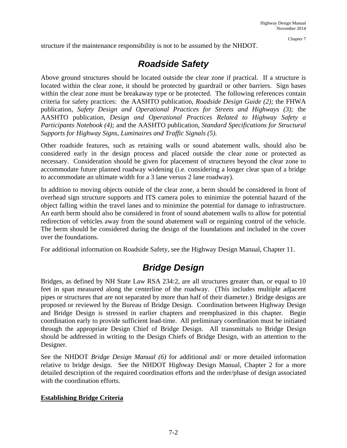structure if the maintenance responsibility is not to be assumed by the NHDOT.

## *Roadside Safety*

Above ground structures should be located outside the clear zone if practical. If a structure is located within the clear zone, it should be protected by guardrail or other barriers. Sign bases within the clear zone must be breakaway type or be protected. The following references contain criteria for safety practices: the AASHTO publication, *Roadside Design Guide (2);* the FHWA publication, *Safety Design and Operational Practices for Streets and Highways (3);* the AASHTO publication, *Design and Operational Practices Related to Highway Safety a Participants Notebook (4);* and the AASHTO publication, *Standard Specifications for Structural Supports for Highway Signs, Luminaires and Traffic Signals (5)*.

Other roadside features, such as retaining walls or sound abatement walls, should also be considered early in the design process and placed outside the clear zone or protected as necessary. Consideration should be given for placement of structures beyond the clear zone to accommodate future planned roadway widening (i.e. considering a longer clear span of a bridge to accommodate an ultimate width for a 3 lane versus 2 lane roadway).

In addition to moving objects outside of the clear zone, a berm should be considered in front of overhead sign structure supports and ITS camera poles to minimize the potential hazard of the object falling within the travel lanes and to minimize the potential for damage to infrastructure. An earth berm should also be considered in front of sound abatement walls to allow for potential redirection of vehicles away from the sound abatement wall or regaining control of the vehicle. The berm should be considered during the design of the foundations and included in the cover over the foundations.

For additional information on Roadside Safety, see the Highway Design Manual, Chapter 11.

## *Bridge Design*

Bridges, as defined by NH State Law RSA 234:2, are all structures greater than, or equal to 10 feet in span measured along the centerline of the roadway. (This includes multiple adjacent pipes or structures that are not separated by more than half of their diameter.) Bridge designs are proposed or reviewed by the Bureau of Bridge Design. Coordination between Highway Design and Bridge Design is stressed in earlier chapters and reemphasized in this chapter. Begin coordination early to provide sufficient lead-time. All preliminary coordination must be initiated through the appropriate Design Chief of Bridge Design. All transmittals to Bridge Design should be addressed in writing to the Design Chiefs of Bridge Design, with an attention to the Designer.

See the NHDOT *Bridge Design Manual (6)* for additional and/ or more detailed information relative to bridge design. See the NHDOT Highway Design Manual, Chapter 2 for a more detailed description of the required coordination efforts and the order/phase of design associated with the coordination efforts.

### **Establishing Bridge Criteria**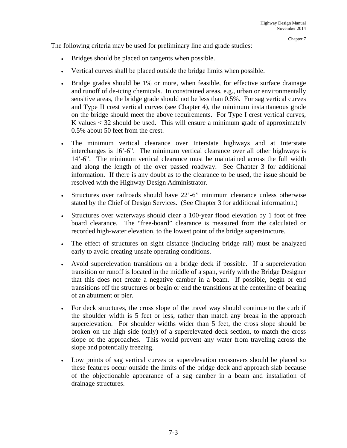The following criteria may be used for preliminary line and grade studies:

- Bridges should be placed on tangents when possible.
- Vertical curves shall be placed outside the bridge limits when possible.
- Bridge grades should be 1% or more, when feasible, for effective surface drainage and runoff of de-icing chemicals. In constrained areas, e.g., urban or environmentally sensitive areas, the bridge grade should not be less than 0.5%. For sag vertical curves and Type II crest vertical curves (see Chapter 4), the minimum instantaneous grade on the bridge should meet the above requirements. For Type I crest vertical curves, K values  $\leq$  32 should be used. This will ensure a minimum grade of approximately 0.5% about 50 feet from the crest.
- The minimum vertical clearance over Interstate highways and at Interstate interchanges is 16'-6". The minimum vertical clearance over all other highways is 14'-6". The minimum vertical clearance must be maintained across the full width and along the length of the over passed roadway. See Chapter 3 for additional information. If there is any doubt as to the clearance to be used, the issue should be resolved with the Highway Design Administrator.
- Structures over railroads should have 22'-6" minimum clearance unless otherwise stated by the Chief of Design Services. (See Chapter 3 for additional information.)
- Structures over waterways should clear a 100-year flood elevation by 1 foot of free board clearance. The "free-board" clearance is measured from the calculated or recorded high-water elevation, to the lowest point of the bridge superstructure.
- The effect of structures on sight distance (including bridge rail) must be analyzed early to avoid creating unsafe operating conditions.
- Avoid superelevation transitions on a bridge deck if possible. If a superelevation transition or runoff is located in the middle of a span, verify with the Bridge Designer that this does not create a negative camber in a beam. If possible, begin or end transitions off the structures or begin or end the transitions at the centerline of bearing of an abutment or pier.
- For deck structures, the cross slope of the travel way should continue to the curb if the shoulder width is 5 feet or less, rather than match any break in the approach superelevation. For shoulder widths wider than 5 feet, the cross slope should be broken on the high side (only) of a superelevated deck section, to match the cross slope of the approaches. This would prevent any water from traveling across the slope and potentially freezing.
- Low points of sag vertical curves or superelevation crossovers should be placed so these features occur outside the limits of the bridge deck and approach slab because of the objectionable appearance of a sag camber in a beam and installation of drainage structures.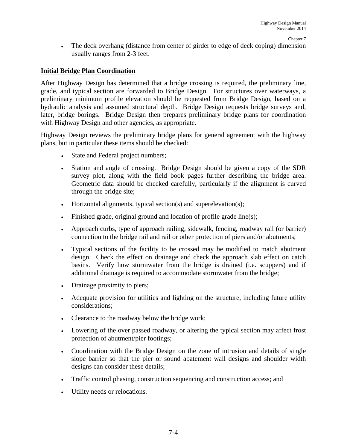The deck overhang (distance from center of girder to edge of deck coping) dimension usually ranges from 2-3 feet.

#### **Initial Bridge Plan Coordination**

After Highway Design has determined that a bridge crossing is required, the preliminary line, grade, and typical section are forwarded to Bridge Design. For structures over waterways, a preliminary minimum profile elevation should be requested from Bridge Design, based on a hydraulic analysis and assumed structural depth. Bridge Design requests bridge surveys and, later, bridge borings. Bridge Design then prepares preliminary bridge plans for coordination with Highway Design and other agencies, as appropriate.

Highway Design reviews the preliminary bridge plans for general agreement with the highway plans, but in particular these items should be checked:

- State and Federal project numbers;
- Station and angle of crossing. Bridge Design should be given a copy of the SDR survey plot, along with the field book pages further describing the bridge area. Geometric data should be checked carefully, particularly if the alignment is curved through the bridge site;
- Horizontal alignments, typical section(s) and superelevation(s);
- Finished grade, original ground and location of profile grade line(s);
- Approach curbs, type of approach railing, sidewalk, fencing, roadway rail (or barrier) connection to the bridge rail and rail or other protection of piers and/or abutments;
- Typical sections of the facility to be crossed may be modified to match abutment design. Check the effect on drainage and check the approach slab effect on catch basins. Verify how stormwater from the bridge is drained (i.e. scuppers) and if additional drainage is required to accommodate stormwater from the bridge;
- Drainage proximity to piers;
- Adequate provision for utilities and lighting on the structure, including future utility considerations;
- Clearance to the roadway below the bridge work;
- Lowering of the over passed roadway, or altering the typical section may affect frost protection of abutment/pier footings;
- Coordination with the Bridge Design on the zone of intrusion and details of single slope barrier so that the pier or sound abatement wall designs and shoulder width designs can consider these details;
- Traffic control phasing, construction sequencing and construction access; and
- Utility needs or relocations.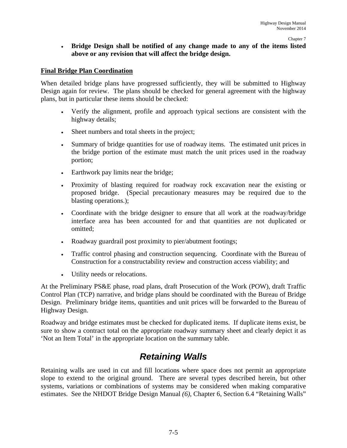**Bridge Design shall be notified of any change made to any of the items listed above or any revision that will affect the bridge design.** 

#### **Final Bridge Plan Coordination**

When detailed bridge plans have progressed sufficiently, they will be submitted to Highway Design again for review. The plans should be checked for general agreement with the highway plans, but in particular these items should be checked:

- Verify the alignment, profile and approach typical sections are consistent with the highway details;
- Sheet numbers and total sheets in the project;
- Summary of bridge quantities for use of roadway items. The estimated unit prices in the bridge portion of the estimate must match the unit prices used in the roadway portion;
- Earthwork pay limits near the bridge;
- Proximity of blasting required for roadway rock excavation near the existing or proposed bridge. (Special precautionary measures may be required due to the blasting operations.);
- Coordinate with the bridge designer to ensure that all work at the roadway/bridge interface area has been accounted for and that quantities are not duplicated or omitted;
- Roadway guardrail post proximity to pier/abutment footings;
- Traffic control phasing and construction sequencing. Coordinate with the Bureau of Construction for a constructability review and construction access viability; and
- Utility needs or relocations.

At the Preliminary PS&E phase, road plans, draft Prosecution of the Work (POW), draft Traffic Control Plan (TCP) narrative, and bridge plans should be coordinated with the Bureau of Bridge Design. Preliminary bridge items, quantities and unit prices will be forwarded to the Bureau of Highway Design.

Roadway and bridge estimates must be checked for duplicated items. If duplicate items exist, be sure to show a contract total on the appropriate roadway summary sheet and clearly depict it as 'Not an Item Total' in the appropriate location on the summary table.

## *Retaining Walls*

Retaining walls are used in cut and fill locations where space does not permit an appropriate slope to extend to the original ground. There are several types described herein, but other systems, variations or combinations of systems may be considered when making comparative estimates. See the NHDOT Bridge Design Manual *(6)*, Chapter 6, Section 6.4 "Retaining Walls"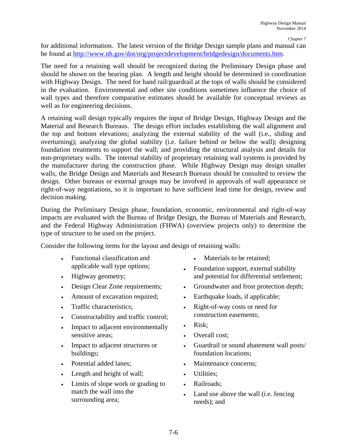for additional information. The latest version of the Bridge Design sample plans and manual can be found at http://www.nh.gov/dot/org/projectdevelopment/bridgedesign/documents.htm.

The need for a retaining wall should be recognized during the Preliminary Design phase and should be shown on the hearing plan. A length and height should be determined in coordination with Highway Design. The need for hand rail/guardrail at the tops of walls should be considered in the evaluation. Environmental and other site conditions sometimes influence the choice of wall types and therefore comparative estimates should be available for conceptual reviews as well as for engineering decisions.

A retaining wall design typically requires the input of Bridge Design, Highway Design and the Material and Research Bureaus. The design effort includes establishing the wall alignment and the top and bottom elevations; analyzing the external stability of the wall (i.e., sliding and overturning); analyzing the global stability (i.e. failure behind or below the wall); designing foundation treatments to support the wall; and providing the structural analysis and details for non-proprietary walls. The internal stability of proprietary retaining wall systems is provided by the manufacturer during the construction phase. While Highway Design may design smaller walls, the Bridge Design and Materials and Research Bureaus should be consulted to review the design. Other bureaus or external groups may be involved in approvals of wall appearance or right-of-way negotiations, so it is important to have sufficient lead time for design, review and decision making.

During the Preliminary Design phase, foundation, economic, environmental and right-of-way impacts are evaluated with the Bureau of Bridge Design, the Bureau of Materials and Research, and the Federal Highway Administration (FHWA) (overview projects only) to determine the type of structure to be used on the project.

Consider the following items for the layout and design of retaining walls:

- Functional classification and applicable wall type options;
- Highway geometry;
- Design Clear Zone requirements;
- Amount of excavation required;
- Traffic characteristics:
- Constructability and traffic control;
- Impact to adjacent environmentally sensitive areas;
- Impact to adjacent structures or buildings;
- Potential added lanes;
- Length and height of wall;
- Limits of slope work or grading to match the wall into the surrounding area;
- Materials to be retained;
- Foundation support, external stability and potential for differential settlement;
- Groundwater and frost protection depth;
- Earthquake loads, if applicable;
- Right-of-way costs or need for construction easements;
- Risk:
- Overall cost;
- Guardrail or sound abatement wall posts/ foundation locations;
- Maintenance concerns;
- Utilities;
- Railroads:
- Land use above the wall (i.e. fencing needs); and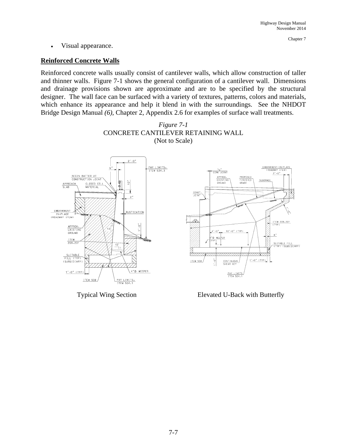ITEM 209.201

SUITABLE FILL<br>(TYP) (SUBSIDIARY)

 $6''$ 

Chapter 7

Visual appearance.

### **Reinforced Concrete Walls**

Reinforced concrete walls usually consist of cantilever walls, which allow construction of taller and thinner walls. Figure 7-1 shows the general configuration of a cantilever wall. Dimensions and drainage provisions shown are approximate and are to be specified by the structural designer. The wall face can be surfaced with a variety of textures, patterns, colors and materials, which enhance its appearance and help it blend in with the surroundings. See the NHDOT Bridge Design Manual *(6),* Chapter 2, Appendix 2.6 for examples of surface wall treatments.





Typical Wing Section Elevated U-Back with Butterfly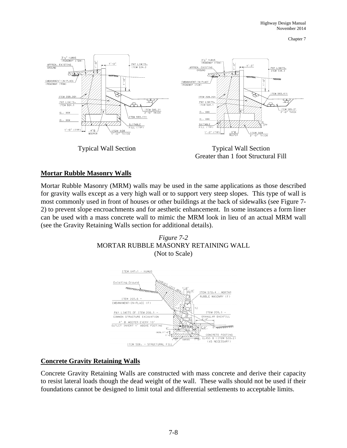

Greater than 1 foot Structural Fill

### **Mortar Rubble Masonry Walls**

Mortar Rubble Masonry (MRM) walls may be used in the same applications as those described for gravity walls except as a very high wall or to support very steep slopes. This type of wall is most commonly used in front of houses or other buildings at the back of sidewalks (see Figure 7- 2) to prevent slope encroachments and for aesthetic enhancement. In some instances a form liner can be used with a mass concrete wall to mimic the MRM look in lieu of an actual MRM wall (see the Gravity Retaining Walls section for additional details).





### **Concrete Gravity Retaining Walls**

Concrete Gravity Retaining Walls are constructed with mass concrete and derive their capacity to resist lateral loads though the dead weight of the wall. These walls should not be used if their foundations cannot be designed to limit total and differential settlements to acceptable limits.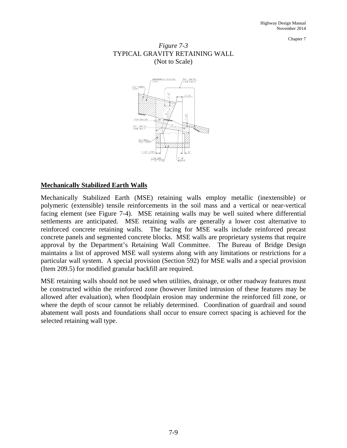### *Figure 7-3*  TYPICAL GRAVITY RETAINING WALL (Not to Scale)



#### **Mechanically Stabilized Earth Walls**

Mechanically Stabilized Earth (MSE) retaining walls employ metallic (inextensible) or polymeric (extensible) tensile reinforcements in the soil mass and a vertical or near-vertical facing element (see Figure 7-4). MSE retaining walls may be well suited where differential settlements are anticipated. MSE retaining walls are generally a lower cost alternative to reinforced concrete retaining walls. The facing for MSE walls include reinforced precast concrete panels and segmented concrete blocks. MSE walls are proprietary systems that require approval by the Department's Retaining Wall Committee. The Bureau of Bridge Design maintains a list of approved MSE wall systems along with any limitations or restrictions for a particular wall system. A special provision (Section 592) for MSE walls and a special provision (Item 209.5) for modified granular backfill are required.

MSE retaining walls should not be used when utilities, drainage, or other roadway features must be constructed within the reinforced zone (however limited intrusion of these features may be allowed after evaluation), when floodplain erosion may undermine the reinforced fill zone, or where the depth of scour cannot be reliably determined. Coordination of guardrail and sound abatement wall posts and foundations shall occur to ensure correct spacing is achieved for the selected retaining wall type.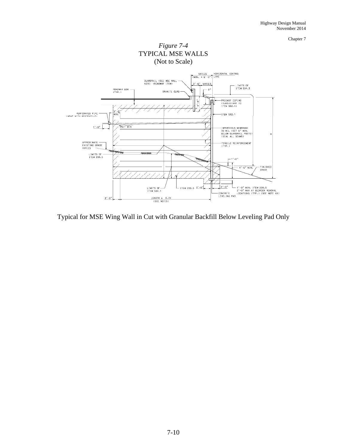

#### Typical for MSE Wing Wall in Cut with Granular Backfill Below Leveling Pad Only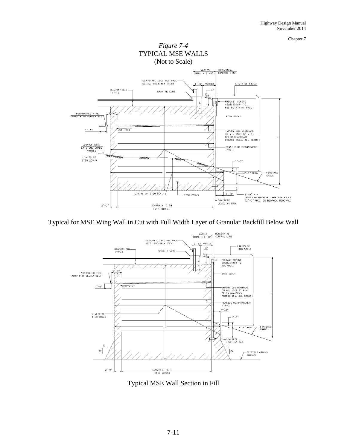

#### Typical for MSE Wing Wall in Cut with Full Width Layer of Granular Backfill Below Wall



Typical MSE Wall Section in Fill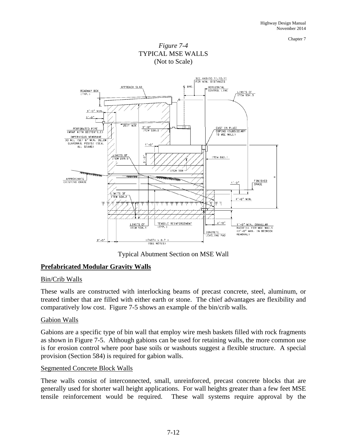

*Figure 7-4*  TYPICAL MSE WALLS (Not to Scale)

Typical Abutment Section on MSE Wall

### **Prefabricated Modular Gravity Walls**

#### Bin/Crib Walls

These walls are constructed with interlocking beams of precast concrete, steel, aluminum, or treated timber that are filled with either earth or stone. The chief advantages are flexibility and comparatively low cost. Figure 7-5 shows an example of the bin/crib walls.

#### Gabion Walls

Gabions are a specific type of bin wall that employ wire mesh baskets filled with rock fragments as shown in Figure 7-5. Although gabions can be used for retaining walls, the more common use is for erosion control where poor base soils or washouts suggest a flexible structure. A special provision (Section 584) is required for gabion walls.

#### Segmented Concrete Block Walls

These walls consist of interconnected, small, unreinforced, precast concrete blocks that are generally used for shorter wall height applications. For wall heights greater than a few feet MSE tensile reinforcement would be required. These wall systems require approval by the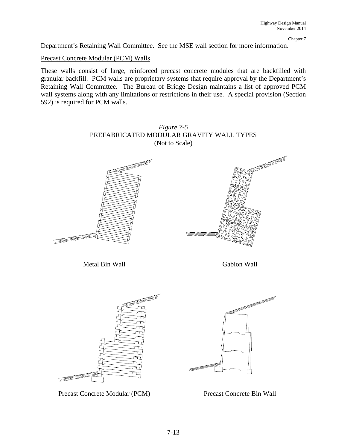Department's Retaining Wall Committee. See the MSE wall section for more information.

Precast Concrete Modular (PCM) Walls

These walls consist of large, reinforced precast concrete modules that are backfilled with granular backfill. PCM walls are proprietary systems that require approval by the Department's Retaining Wall Committee. The Bureau of Bridge Design maintains a list of approved PCM wall systems along with any limitations or restrictions in their use. A special provision (Section 592) is required for PCM walls.



Precast Concrete Modular (PCM) Precast Concrete Bin Wall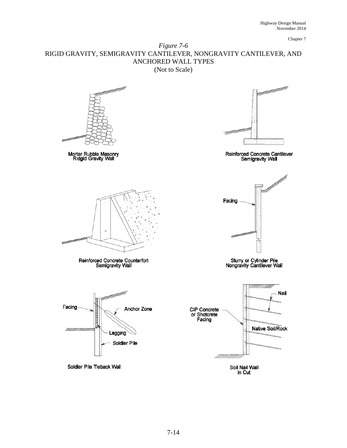#### *Figure 7-6*  RIGID GRAVITY, SEMIGRAVITY CANTILEVER, NONGRAVITY CANTILEVER, AND ANCHORED WALL TYPES (Not to Scale)

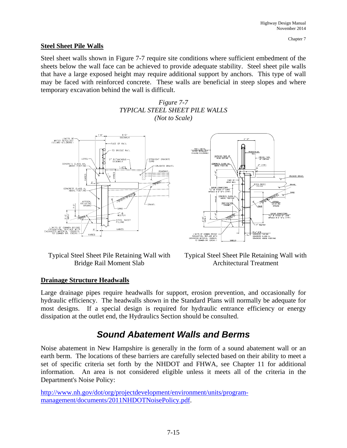#### **Steel Sheet Pile Walls**

Steel sheet walls shown in Figure 7-7 require site conditions where sufficient embedment of the sheets below the wall face can be achieved to provide adequate stability. Steel sheet pile walls that have a large exposed height may require additional support by anchors. This type of wall may be faced with reinforced concrete. These walls are beneficial in steep slopes and where temporary excavation behind the wall is difficult.





Typical Steel Sheet Pile Retaining Wall with Bridge Rail Moment Slab



Typical Steel Sheet Pile Retaining Wall with Architectural Treatment

#### **Drainage Structure Headwalls**

Large drainage pipes require headwalls for support, erosion prevention, and occasionally for hydraulic efficiency. The headwalls shown in the Standard Plans will normally be adequate for most designs. If a special design is required for hydraulic entrance efficiency or energy dissipation at the outlet end, the Hydraulics Section should be consulted.

## *Sound Abatement Walls and Berms*

Noise abatement in New Hampshire is generally in the form of a sound abatement wall or an earth berm. The locations of these barriers are carefully selected based on their ability to meet a set of specific criteria set forth by the NHDOT and FHWA, see Chapter 11 for additional information. An area is not considered eligible unless it meets all of the criteria in the Department's Noise Policy:

```
http://www.nh.gov/dot/org/projectdevelopment/environment/units/program-
management/documents/2011NHDOTNoisePolicy.pdf.
```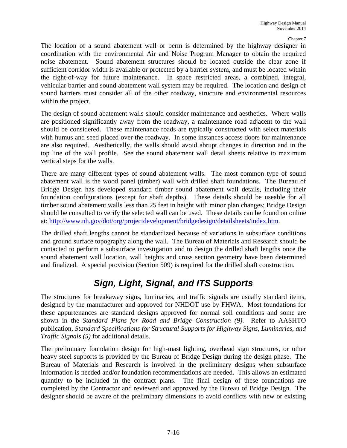The location of a sound abatement wall or berm is determined by the highway designer in coordination with the environmental Air and Noise Program Manager to obtain the required noise abatement. Sound abatement structures should be located outside the clear zone if sufficient corridor width is available or protected by a barrier system, and must be located within the right-of-way for future maintenance. In space restricted areas, a combined, integral, vehicular barrier and sound abatement wall system may be required. The location and design of sound barriers must consider all of the other roadway, structure and environmental resources within the project.

The design of sound abatement walls should consider maintenance and aesthetics. Where walls are positioned significantly away from the roadway, a maintenance road adjacent to the wall should be considered. These maintenance roads are typically constructed with select materials with humus and seed placed over the roadway. In some instances access doors for maintenance are also required. Aesthetically, the walls should avoid abrupt changes in direction and in the top line of the wall profile. See the sound abatement wall detail sheets relative to maximum vertical steps for the walls.

There are many different types of sound abatement walls. The most common type of sound abatement wall is the wood panel (timber) wall with drilled shaft foundations. The Bureau of Bridge Design has developed standard timber sound abatement wall details, including their foundation configurations (except for shaft depths). These details should be useable for all timber sound abatement walls less than 25 feet in height with minor plan changes; Bridge Design should be consulted to verify the selected wall can be used. These details can be found on online at: http://www.nh.gov/dot/org/projectdevelopment/bridgedesign/detailsheets/index.htm.

The drilled shaft lengths cannot be standardized because of variations in subsurface conditions and ground surface topography along the wall. The Bureau of Materials and Research should be contacted to perform a subsurface investigation and to design the drilled shaft lengths once the sound abatement wall location, wall heights and cross section geometry have been determined and finalized. A special provision (Section 509) is required for the drilled shaft construction.

## *Sign, Light, Signal, and ITS Supports*

The structures for breakaway signs, luminaries, and traffic signals are usually standard items, designed by the manufacturer and approved for NHDOT use by FHWA. Most foundations for these appurtenances are standard designs approved for normal soil conditions and some are shown in the *Standard Plans for Road and Bridge Construction (9)*. Refer to AASHTO publication, *Standard Specifications for Structural Supports for Highway Signs, Luminaries, and Traffic Signals (5)* for additional details.

The preliminary foundation design for high-mast lighting, overhead sign structures, or other heavy steel supports is provided by the Bureau of Bridge Design during the design phase. The Bureau of Materials and Research is involved in the preliminary designs when subsurface information is needed and/or foundation recommendations are needed. This allows an estimated quantity to be included in the contract plans. The final design of these foundations are completed by the Contractor and reviewed and approved by the Bureau of Bridge Design. The designer should be aware of the preliminary dimensions to avoid conflicts with new or existing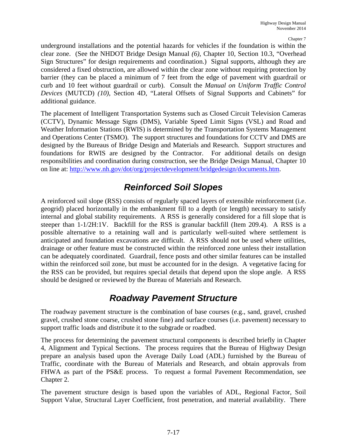underground installations and the potential hazards for vehicles if the foundation is within the clear zone. (See the NHDOT Bridge Design Manual *(6)*, Chapter 10, Section 10.3, "Overhead Sign Structures" for design requirements and coordination.) Signal supports, although they are considered a fixed obstruction, are allowed within the clear zone without requiring protection by barrier (they can be placed a minimum of 7 feet from the edge of pavement with guardrail or curb and 10 feet without guardrail or curb). Consult the *Manual on Uniform Traffic Control Devices* (MUTCD) *(10)*, Section 4D, "Lateral Offsets of Signal Supports and Cabinets" for additional guidance.

The placement of Intelligent Transportation Systems such as Closed Circuit Television Cameras (CCTV), Dynamic Message Signs (DMS), Variable Speed Limit Signs (VSL) and Road and Weather Information Stations (RWIS) is determined by the Transportation Systems Management and Operations Center (TSMO). The support structures and foundations for CCTV and DMS are designed by the Bureaus of Bridge Design and Materials and Research. Support structures and foundations for RWIS are designed by the Contractor. For additional details on design responsibilities and coordination during construction, see the Bridge Design Manual, Chapter 10 on line at: http://www.nh.gov/dot/org/projectdevelopment/bridgedesign/documents.htm.

### *Reinforced Soil Slopes*

A reinforced soil slope (RSS) consists of regularly spaced layers of extensible reinforcement (i.e. geogrid) placed horizontally in the embankment fill to a depth (or length) necessary to satisfy internal and global stability requirements. A RSS is generally considered for a fill slope that is steeper than 1-1/2H:1V. Backfill for the RSS is granular backfill (Item 209.4). A RSS is a possible alternative to a retaining wall and is particularly well-suited where settlement is anticipated and foundation excavations are difficult. A RSS should not be used where utilities, drainage or other feature must be constructed within the reinforced zone unless their installation can be adequately coordinated. Guardrail, fence posts and other similar features can be installed within the reinforced soil zone, but must be accounted for in the design. A vegetative facing for the RSS can be provided, but requires special details that depend upon the slope angle. A RSS should be designed or reviewed by the Bureau of Materials and Research.

### *Roadway Pavement Structure*

The roadway pavement structure is the combination of base courses (e.g., sand, gravel, crushed gravel, crushed stone coarse, crushed stone fine) and surface courses (i.e. pavement) necessary to support traffic loads and distribute it to the subgrade or roadbed.

The process for determining the pavement structural components is described briefly in Chapter 4, Alignment and Typical Sections. The process requires that the Bureau of Highway Design prepare an analysis based upon the Average Daily Load (ADL) furnished by the Bureau of Traffic, coordinate with the Bureau of Materials and Research, and obtain approvals from FHWA as part of the PS&E process. To request a formal Pavement Recommendation, see Chapter 2.

The pavement structure design is based upon the variables of ADL, Regional Factor, Soil Support Value, Structural Layer Coefficient, frost penetration, and material availability. There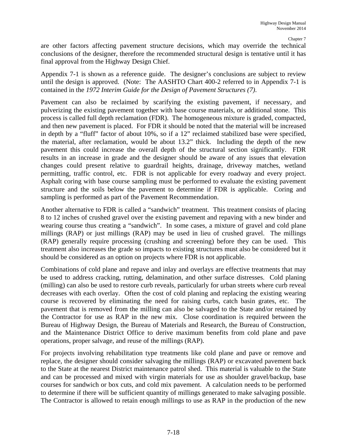are other factors affecting pavement structure decisions, which may override the technical conclusions of the designer, therefore the recommended structural design is tentative until it has final approval from the Highway Design Chief.

Appendix 7-1 is shown as a reference guide. The designer's conclusions are subject to review until the design is approved. (Note: The AASHTO Chart 400-2 referred to in Appendix 7-1 is contained in the *1972 Interim Guide for the Design of Pavement Structures (7)*.

Pavement can also be reclaimed by scarifying the existing pavement, if necessary, and pulverizing the existing pavement together with base course materials, or additional stone. This process is called full depth reclamation (FDR). The homogeneous mixture is graded, compacted, and then new pavement is placed. For FDR it should be noted that the material will be increased in depth by a "fluff" factor of about 10%, so if a 12" reclaimed stabilized base were specified, the material, after reclamation, would be about 13.2" thick. Including the depth of the new pavement this could increase the overall depth of the structural section significantly. FDR results in an increase in grade and the designer should be aware of any issues that elevation changes could present relative to guardrail heights, drainage, driveway matches, wetland permitting, traffic control, etc. FDR is not applicable for every roadway and every project. Asphalt coring with base course sampling must be performed to evaluate the existing pavement structure and the soils below the pavement to determine if FDR is applicable. Coring and sampling is performed as part of the Pavement Recommendation.

Another alternative to FDR is called a "sandwich" treatment. This treatment consists of placing 8 to 12 inches of crushed gravel over the existing pavement and repaving with a new binder and wearing course thus creating a "sandwich". In some cases, a mixture of gravel and cold plane millings (RAP) or just millings (RAP) may be used in lieu of crushed gravel. The millings (RAP) generally require processing (crushing and screening) before they can be used. This treatment also increases the grade so impacts to existing structures must also be considered but it should be considered as an option on projects where FDR is not applicable.

Combinations of cold plane and repave and inlay and overlays are effective treatments that may be used to address cracking, rutting, delamination, and other surface distresses. Cold planing (milling) can also be used to restore curb reveals, particularly for urban streets where curb reveal decreases with each overlay. Often the cost of cold planing and replacing the existing wearing course is recovered by eliminating the need for raising curbs, catch basin grates, etc. The pavement that is removed from the milling can also be salvaged to the State and/or retained by the Contractor for use as RAP in the new mix. Close coordination is required between the Bureau of Highway Design, the Bureau of Materials and Research, the Bureau of Construction, and the Maintenance District Office to derive maximum benefits from cold plane and pave operations, proper salvage, and reuse of the millings (RAP).

For projects involving rehabilitation type treatments like cold plane and pave or remove and replace, the designer should consider salvaging the millings (RAP) or excavated pavement back to the State at the nearest District maintenance patrol shed. This material is valuable to the State and can be processed and mixed with virgin materials for use as shoulder gravel/backup, base courses for sandwich or box cuts, and cold mix pavement. A calculation needs to be performed to determine if there will be sufficient quantity of millings generated to make salvaging possible. The Contractor is allowed to retain enough millings to use as RAP in the production of the new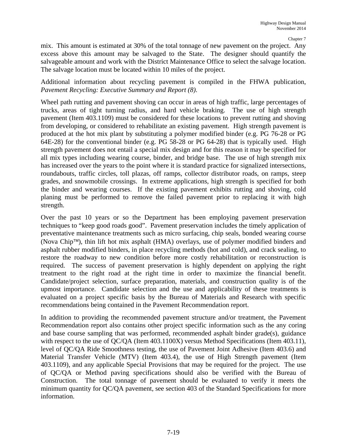mix. This amount is estimated at 30% of the total tonnage of new pavement on the project. Any excess above this amount may be salvaged to the State. The designer should quantify the salvageable amount and work with the District Maintenance Office to select the salvage location. The salvage location must be located within 10 miles of the project.

Additional information about recycling pavement is compiled in the FHWA publication, *Pavement Recycling: Executive Summary and Report (8)*.

Wheel path rutting and pavement shoving can occur in areas of high traffic, large percentages of trucks, areas of tight turning radius, and hard vehicle braking. The use of high strength pavement (Item 403.1109) must be considered for these locations to prevent rutting and shoving from developing, or considered to rehabilitate an existing pavement. High strength pavement is produced at the hot mix plant by substituting a polymer modified binder (e.g. PG 76-28 or PG 64E-28) for the conventional binder (e.g. PG 58-28 or PG 64-28) that is typically used. High strength pavement does not entail a special mix design and for this reason it may be specified for all mix types including wearing course, binder, and bridge base. The use of high strength mix has increased over the years to the point where it is standard practice for signalized intersections, roundabouts, traffic circles, toll plazas, off ramps, collector distributor roads, on ramps, steep grades, and snowmobile crossings. In extreme applications, high strength is specified for both the binder and wearing courses. If the existing pavement exhibits rutting and shoving, cold planing must be performed to remove the failed pavement prior to replacing it with high strength.

Over the past 10 years or so the Department has been employing pavement preservation techniques to "keep good roads good". Pavement preservation includes the timely application of preventative maintenance treatments such as micro surfacing, chip seals, bonded wearing course (Nova Chip<sup>™</sup>), thin lift hot mix asphalt (HMA) overlays, use of polymer modified binders and asphalt rubber modified binders, in place recycling methods (hot and cold), and crack sealing, to restore the roadway to new condition before more costly rehabilitation or reconstruction is required. The success of pavement preservation is highly dependent on applying the right treatment to the right road at the right time in order to maximize the financial benefit. Candidate/project selection, surface preparation, materials, and construction quality is of the upmost importance. Candidate selection and the use and applicability of these treatments is evaluated on a project specific basis by the Bureau of Materials and Research with specific recommendations being contained in the Pavement Recommendation report.

In addition to providing the recommended pavement structure and/or treatment, the Pavement Recommendation report also contains other project specific information such as the any coring and base course sampling that was performed, recommended asphalt binder grade(s), guidance with respect to the use of QC/QA (Item 403.1100X) versus Method Specifications (Item 403.11), level of QC/QA Ride Smoothness testing, the use of Pavement Joint Adhesive (Item 403.6) and Material Transfer Vehicle (MTV) (Item 403.4), the use of High Strength pavement (Item 403.1109), and any applicable Special Provisions that may be required for the project. The use of QC/QA or Method paving specifications should also be verified with the Bureau of Construction. The total tonnage of pavement should be evaluated to verify it meets the minimum quantity for QC/QA pavement, see section 403 of the Standard Specifications for more information.